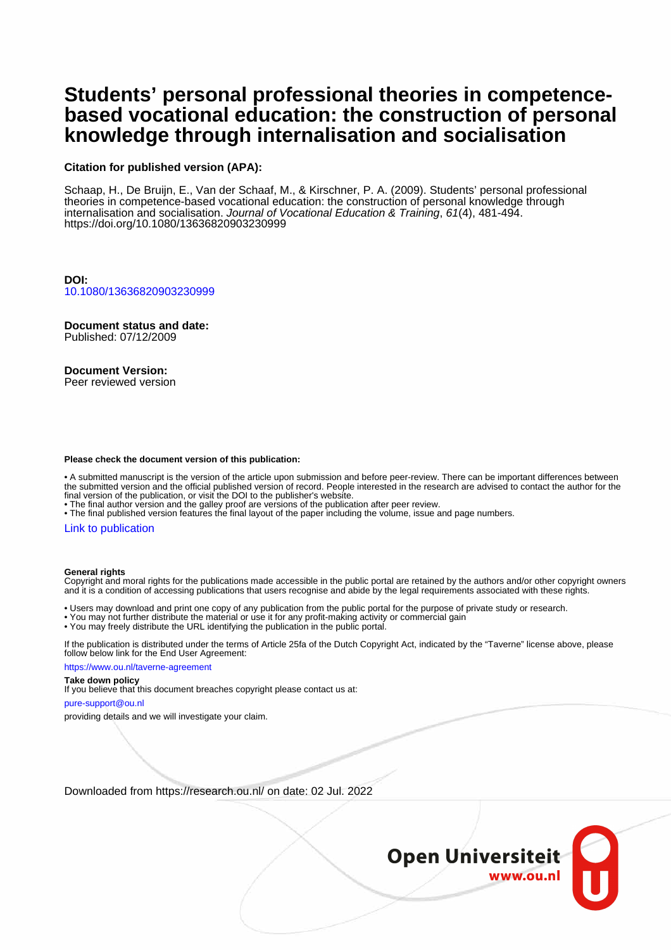# **Students' personal professional theories in competencebased vocational education: the construction of personal knowledge through internalisation and socialisation**

## **Citation for published version (APA):**

Schaap, H., De Bruijn, E., Van der Schaaf, M., & Kirschner, P. A. (2009). Students' personal professional theories in competence-based vocational education: the construction of personal knowledge through internalisation and socialisation. Journal of Vocational Education & Training, 61(4), 481-494. <https://doi.org/10.1080/13636820903230999>

**DOI:** [10.1080/13636820903230999](https://doi.org/10.1080/13636820903230999)

**Document status and date:** Published: 07/12/2009

**Document Version:**

Peer reviewed version

#### **Please check the document version of this publication:**

• A submitted manuscript is the version of the article upon submission and before peer-review. There can be important differences between the submitted version and the official published version of record. People interested in the research are advised to contact the author for the final version of the publication, or visit the DOI to the publisher's website.

• The final author version and the galley proof are versions of the publication after peer review.

• The final published version features the final layout of the paper including the volume, issue and page numbers.

## [Link to publication](https://research.ou.nl/en/publications/1219ac41-5fe1-4c7b-a986-70bb63da44e9)

#### **General rights**

Copyright and moral rights for the publications made accessible in the public portal are retained by the authors and/or other copyright owners and it is a condition of accessing publications that users recognise and abide by the legal requirements associated with these rights.

• Users may download and print one copy of any publication from the public portal for the purpose of private study or research.

- You may not further distribute the material or use it for any profit-making activity or commercial gain
- You may freely distribute the URL identifying the publication in the public portal.

If the publication is distributed under the terms of Article 25fa of the Dutch Copyright Act, indicated by the "Taverne" license above, please follow below link for the End User Agreement:

https://www.ou.nl/taverne-agreement

#### **Take down policy**

If you believe that this document breaches copyright please contact us at:

pure-support@ou.nl

providing details and we will investigate your claim.

Downloaded from https://research.ou.nl/ on date: 02 Jul. 2022

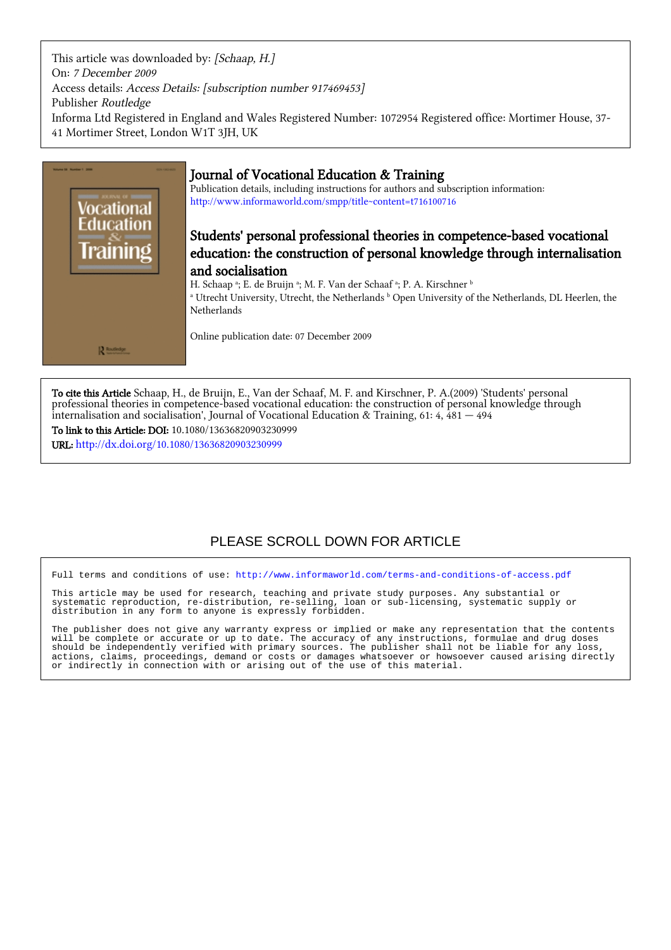This article was downloaded by: [Schaap, H.] On: 7 December 2009 Access details: Access Details: [subscription number 917469453] Publisher Routledge Informa Ltd Registered in England and Wales Registered Number: 1072954 Registered office: Mortimer House, 37- 41 Mortimer Street, London W1T 3JH, UK



To cite this Article Schaap, H., de Bruijn, E., Van der Schaaf, M. F. and Kirschner, P. A.(2009) 'Students' personal professional theories in competence-based vocational education: the construction of personal knowledge through internalisation and socialisation', Journal of Vocational Education & Training, 61: 4, 481 — 494

To link to this Article: DOI: 10.1080/13636820903230999 URL: <http://dx.doi.org/10.1080/13636820903230999>

## PLEASE SCROLL DOWN FOR ARTICLE

Full terms and conditions of use:<http://www.informaworld.com/terms-and-conditions-of-access.pdf>

This article may be used for research, teaching and private study purposes. Any substantial or systematic reproduction, re-distribution, re-selling, loan or sub-licensing, systematic supply or distribution in any form to anyone is expressly forbidden.

The publisher does not give any warranty express or implied or make any representation that the contents will be complete or accurate or up to date. The accuracy of any instructions, formulae and drug doses should be independently verified with primary sources. The publisher shall not be liable for any loss, actions, claims, proceedings, demand or costs or damages whatsoever or howsoever caused arising directly or indirectly in connection with or arising out of the use of this material.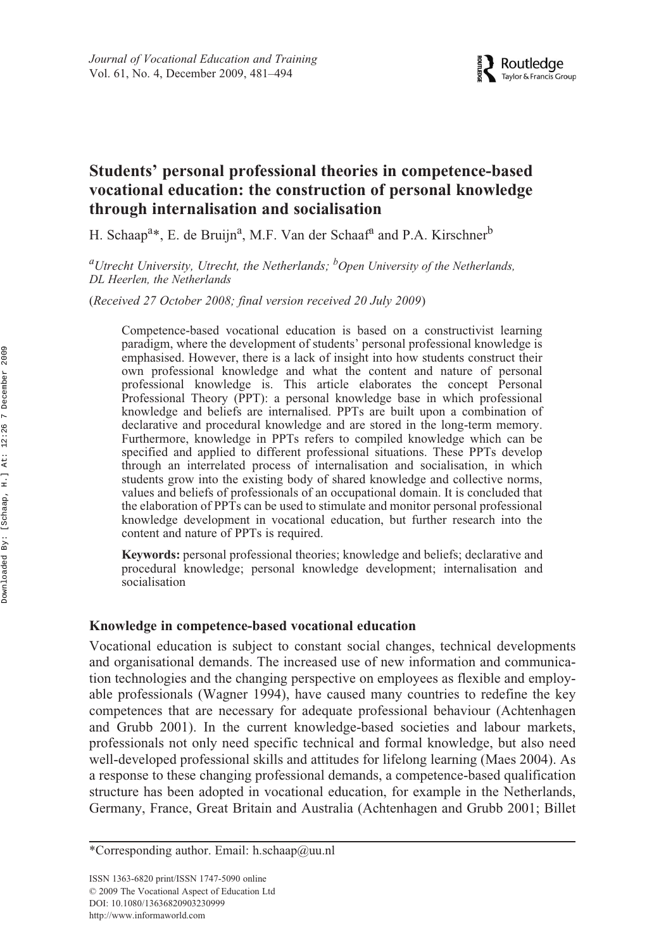## **Students' personal professional theories in competence-based vocational education: the construction of personal knowledge through internalisation and socialisation**

H. Schaap<sup>a\*</sup>, E. de Bruijn<sup>a</sup>, M.F. Van der Schaaf<sup>a</sup> and P.A. Kirschner<sup>b</sup>

*a Utrecht University, Utrecht, the Netherlands; <sup>b</sup> Open University of the Netherlands, DL Heerlen, the Netherlands*

(*Received 27 October 2008; final version received 20 July 2009*)

Competence-based vocational education is based on a constructivist learning paradigm, where the development of students' personal professional knowledge is emphasised. However, there is a lack of insight into how students construct their own professional knowledge and what the content and nature of personal professional knowledge is. This article elaborates the concept Personal Professional Theory (PPT): a personal knowledge base in which professional knowledge and beliefs are internalised. PPTs are built upon a combination of declarative and procedural knowledge and are stored in the long-term memory. Furthermore, knowledge in PPTs refers to compiled knowledge which can be specified and applied to different professional situations. These PPTs develop through an interrelated process of internalisation and socialisation, in which students grow into the existing body of shared knowledge and collective norms, values and beliefs of professionals of an occupational domain. It is concluded that the elaboration of PPTs can be used to stimulate and monitor personal professional knowledge development in vocational education, but further research into the content and nature of PPTs is required.

**Keywords:** personal professional theories; knowledge and beliefs; declarative and procedural knowledge; personal knowledge development; internalisation and socialisation

## **Knowledge in competence-based vocational education**

Vocational education is subject to constant social changes, technical developments and organisational demands. The increased use of new information and communication technologies and the changing perspective on employees as flexible and employable professionals (Wagner 1994), have caused many countries to redefine the key competences that are necessary for adequate professional behaviour (Achtenhagen and Grubb 2001). In the current knowledge-based societies and labour markets, professionals not only need specific technical and formal knowledge, but also need well-developed professional skills and attitudes for lifelong learning (Maes 2004). As a response to these changing professional demands, a competence-based qualification structure has been adopted in vocational education, for example in the Netherlands, Germany, France, Great Britain and Australia (Achtenhagen and Grubb 2001; Billet

ISSN 1363-6820 print/ISSN 1747-5090 online © 2009 The Vocational Aspect of Education Ltd DOI: 10.1080/13636820903230999 http://www.informaworld.com

<sup>\*</sup>Corresponding author. Email: h.schaap@uu.nl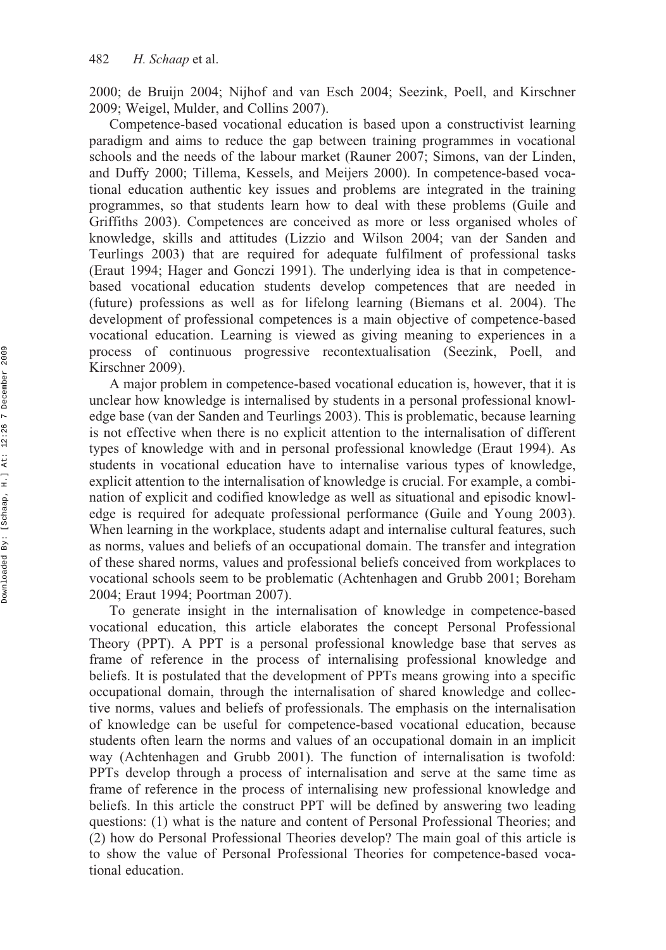2000; de Bruijn 2004; Nijhof and van Esch 2004; Seezink, Poell, and Kirschner 2009; Weigel, Mulder, and Collins 2007).

Competence-based vocational education is based upon a constructivist learning paradigm and aims to reduce the gap between training programmes in vocational schools and the needs of the labour market (Rauner 2007; Simons, van der Linden, and Duffy 2000; Tillema, Kessels, and Meijers 2000). In competence-based vocational education authentic key issues and problems are integrated in the training programmes, so that students learn how to deal with these problems (Guile and Griffiths 2003). Competences are conceived as more or less organised wholes of knowledge, skills and attitudes (Lizzio and Wilson 2004; van der Sanden and Teurlings 2003) that are required for adequate fulfilment of professional tasks (Eraut 1994; Hager and Gonczi 1991). The underlying idea is that in competencebased vocational education students develop competences that are needed in (future) professions as well as for lifelong learning (Biemans et al. 2004). The development of professional competences is a main objective of competence-based vocational education. Learning is viewed as giving meaning to experiences in a process of continuous progressive recontextualisation (Seezink, Poell, and Kirschner 2009).

A major problem in competence-based vocational education is, however, that it is unclear how knowledge is internalised by students in a personal professional knowledge base (van der Sanden and Teurlings 2003). This is problematic, because learning is not effective when there is no explicit attention to the internalisation of different types of knowledge with and in personal professional knowledge (Eraut 1994). As students in vocational education have to internalise various types of knowledge, explicit attention to the internalisation of knowledge is crucial. For example, a combination of explicit and codified knowledge as well as situational and episodic knowledge is required for adequate professional performance (Guile and Young 2003). When learning in the workplace, students adapt and internalise cultural features, such as norms, values and beliefs of an occupational domain. The transfer and integration of these shared norms, values and professional beliefs conceived from workplaces to vocational schools seem to be problematic (Achtenhagen and Grubb 2001; Boreham 2004; Eraut 1994; Poortman 2007).

To generate insight in the internalisation of knowledge in competence-based vocational education, this article elaborates the concept Personal Professional Theory (PPT). A PPT is a personal professional knowledge base that serves as frame of reference in the process of internalising professional knowledge and beliefs. It is postulated that the development of PPTs means growing into a specific occupational domain, through the internalisation of shared knowledge and collective norms, values and beliefs of professionals. The emphasis on the internalisation of knowledge can be useful for competence-based vocational education, because students often learn the norms and values of an occupational domain in an implicit way (Achtenhagen and Grubb 2001). The function of internalisation is twofold: PPTs develop through a process of internalisation and serve at the same time as frame of reference in the process of internalising new professional knowledge and beliefs. In this article the construct PPT will be defined by answering two leading questions: (1) what is the nature and content of Personal Professional Theories; and (2) how do Personal Professional Theories develop? The main goal of this article is to show the value of Personal Professional Theories for competence-based vocational education.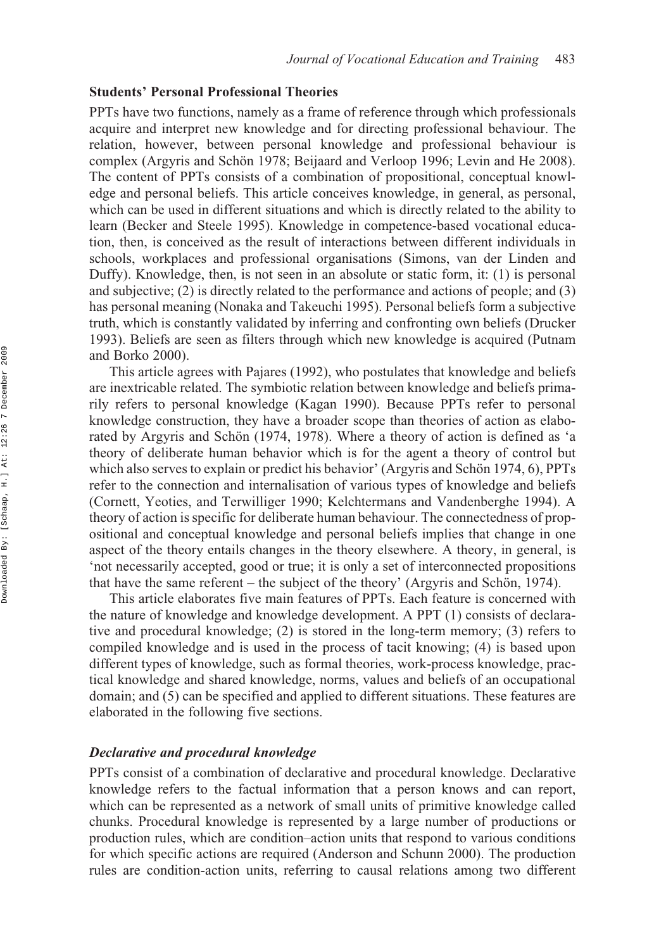### **Students' Personal Professional Theories**

PPTs have two functions, namely as a frame of reference through which professionals acquire and interpret new knowledge and for directing professional behaviour. The relation, however, between personal knowledge and professional behaviour is complex (Argyris and Schön 1978; Beijaard and Verloop 1996; Levin and He 2008). The content of PPTs consists of a combination of propositional, conceptual knowledge and personal beliefs. This article conceives knowledge, in general, as personal, which can be used in different situations and which is directly related to the ability to learn (Becker and Steele 1995). Knowledge in competence-based vocational education, then, is conceived as the result of interactions between different individuals in schools, workplaces and professional organisations (Simons, van der Linden and Duffy). Knowledge, then, is not seen in an absolute or static form, it: (1) is personal and subjective; (2) is directly related to the performance and actions of people; and (3) has personal meaning (Nonaka and Takeuchi 1995). Personal beliefs form a subjective truth, which is constantly validated by inferring and confronting own beliefs (Drucker 1993). Beliefs are seen as filters through which new knowledge is acquired (Putnam and Borko 2000).

This article agrees with Pajares (1992), who postulates that knowledge and beliefs are inextricable related. The symbiotic relation between knowledge and beliefs primarily refers to personal knowledge (Kagan 1990). Because PPTs refer to personal knowledge construction, they have a broader scope than theories of action as elaborated by Argyris and Schön (1974, 1978). Where a theory of action is defined as 'a theory of deliberate human behavior which is for the agent a theory of control but which also serves to explain or predict his behavior' (Argyris and Schön 1974, 6), PPTs refer to the connection and internalisation of various types of knowledge and beliefs (Cornett, Yeoties, and Terwilliger 1990; Kelchtermans and Vandenberghe 1994). A theory of action is specific for deliberate human behaviour. The connectedness of propositional and conceptual knowledge and personal beliefs implies that change in one aspect of the theory entails changes in the theory elsewhere. A theory, in general, is 'not necessarily accepted, good or true; it is only a set of interconnected propositions that have the same referent – the subject of the theory' (Argyris and Schön, 1974).

This article elaborates five main features of PPTs. Each feature is concerned with the nature of knowledge and knowledge development. A PPT (1) consists of declarative and procedural knowledge; (2) is stored in the long-term memory; (3) refers to compiled knowledge and is used in the process of tacit knowing; (4) is based upon different types of knowledge, such as formal theories, work-process knowledge, practical knowledge and shared knowledge, norms, values and beliefs of an occupational domain; and (5) can be specified and applied to different situations. These features are elaborated in the following five sections.

#### *Declarative and procedural knowledge*

PPTs consist of a combination of declarative and procedural knowledge. Declarative knowledge refers to the factual information that a person knows and can report, which can be represented as a network of small units of primitive knowledge called chunks. Procedural knowledge is represented by a large number of productions or production rules, which are condition–action units that respond to various conditions for which specific actions are required (Anderson and Schunn 2000). The production rules are condition-action units, referring to causal relations among two different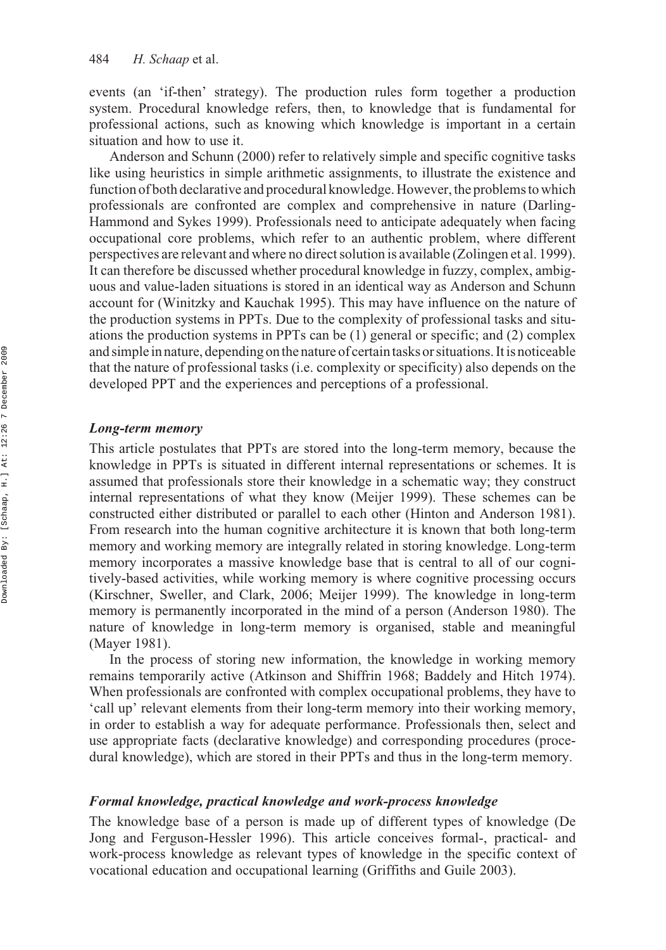events (an 'if-then' strategy). The production rules form together a production system. Procedural knowledge refers, then, to knowledge that is fundamental for professional actions, such as knowing which knowledge is important in a certain situation and how to use it.

Anderson and Schunn (2000) refer to relatively simple and specific cognitive tasks like using heuristics in simple arithmetic assignments, to illustrate the existence and function of both declarative and procedural knowledge. However, the problems to which professionals are confronted are complex and comprehensive in nature (Darling-Hammond and Sykes 1999). Professionals need to anticipate adequately when facing occupational core problems, which refer to an authentic problem, where different perspectives are relevant and where no direct solution is available (Zolingen et al. 1999). It can therefore be discussed whether procedural knowledge in fuzzy, complex, ambiguous and value-laden situations is stored in an identical way as Anderson and Schunn account for (Winitzky and Kauchak 1995). This may have influence on the nature of the production systems in PPTs. Due to the complexity of professional tasks and situations the production systems in PPTs can be (1) general or specific; and (2) complex and simple in nature, depending on the nature of certain tasks or situations. It is noticeable that the nature of professional tasks (i.e. complexity or specificity) also depends on the developed PPT and the experiences and perceptions of a professional.

#### *Long-term memory*

This article postulates that PPTs are stored into the long-term memory, because the knowledge in PPTs is situated in different internal representations or schemes. It is assumed that professionals store their knowledge in a schematic way; they construct internal representations of what they know (Meijer 1999). These schemes can be constructed either distributed or parallel to each other (Hinton and Anderson 1981). From research into the human cognitive architecture it is known that both long-term memory and working memory are integrally related in storing knowledge. Long-term memory incorporates a massive knowledge base that is central to all of our cognitively-based activities, while working memory is where cognitive processing occurs (Kirschner, Sweller, and Clark, 2006; Meijer 1999). The knowledge in long-term memory is permanently incorporated in the mind of a person (Anderson 1980). The nature of knowledge in long-term memory is organised, stable and meaningful (Mayer 1981).

In the process of storing new information, the knowledge in working memory remains temporarily active (Atkinson and Shiffrin 1968; Baddely and Hitch 1974). When professionals are confronted with complex occupational problems, they have to 'call up' relevant elements from their long-term memory into their working memory, in order to establish a way for adequate performance. Professionals then, select and use appropriate facts (declarative knowledge) and corresponding procedures (procedural knowledge), which are stored in their PPTs and thus in the long-term memory.

#### *Formal knowledge, practical knowledge and work-process knowledge*

The knowledge base of a person is made up of different types of knowledge (De Jong and Ferguson-Hessler 1996). This article conceives formal-, practical- and work-process knowledge as relevant types of knowledge in the specific context of vocational education and occupational learning (Griffiths and Guile 2003).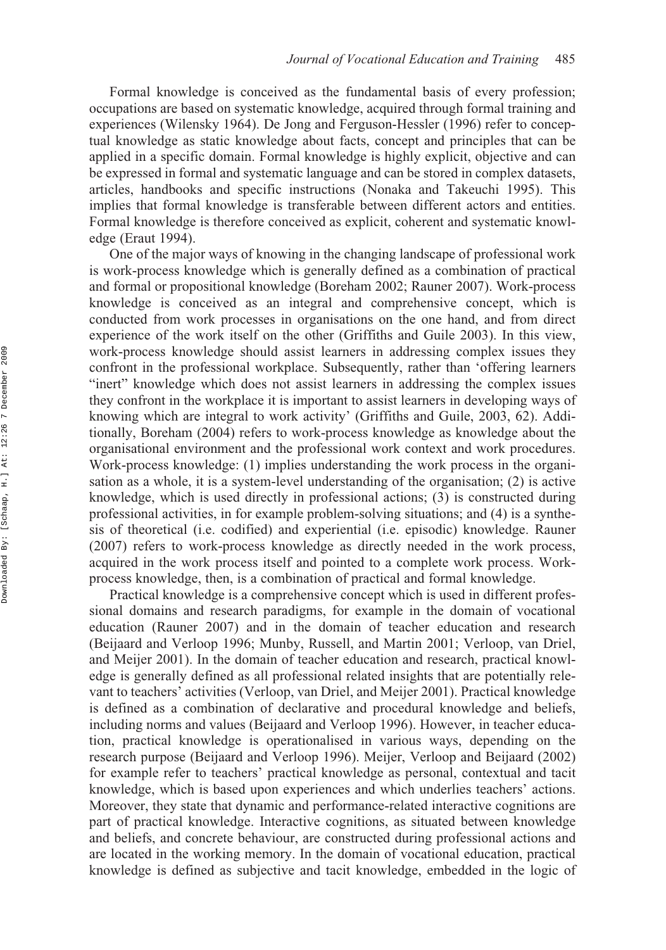Formal knowledge is conceived as the fundamental basis of every profession; occupations are based on systematic knowledge, acquired through formal training and experiences (Wilensky 1964). De Jong and Ferguson-Hessler (1996) refer to conceptual knowledge as static knowledge about facts, concept and principles that can be applied in a specific domain. Formal knowledge is highly explicit, objective and can be expressed in formal and systematic language and can be stored in complex datasets, articles, handbooks and specific instructions (Nonaka and Takeuchi 1995). This implies that formal knowledge is transferable between different actors and entities. Formal knowledge is therefore conceived as explicit, coherent and systematic knowledge (Eraut 1994).

One of the major ways of knowing in the changing landscape of professional work is work-process knowledge which is generally defined as a combination of practical and formal or propositional knowledge (Boreham 2002; Rauner 2007). Work-process knowledge is conceived as an integral and comprehensive concept, which is conducted from work processes in organisations on the one hand, and from direct experience of the work itself on the other (Griffiths and Guile 2003). In this view, work-process knowledge should assist learners in addressing complex issues they confront in the professional workplace. Subsequently, rather than 'offering learners "inert" knowledge which does not assist learners in addressing the complex issues they confront in the workplace it is important to assist learners in developing ways of knowing which are integral to work activity' (Griffiths and Guile, 2003, 62). Additionally, Boreham (2004) refers to work-process knowledge as knowledge about the organisational environment and the professional work context and work procedures. Work-process knowledge: (1) implies understanding the work process in the organisation as a whole, it is a system-level understanding of the organisation; (2) is active knowledge, which is used directly in professional actions; (3) is constructed during professional activities, in for example problem-solving situations; and (4) is a synthesis of theoretical (i.e. codified) and experiential (i.e. episodic) knowledge. Rauner (2007) refers to work-process knowledge as directly needed in the work process, acquired in the work process itself and pointed to a complete work process. Workprocess knowledge, then, is a combination of practical and formal knowledge.

Practical knowledge is a comprehensive concept which is used in different professional domains and research paradigms, for example in the domain of vocational education (Rauner 2007) and in the domain of teacher education and research (Beijaard and Verloop 1996; Munby, Russell, and Martin 2001; Verloop, van Driel, and Meijer 2001). In the domain of teacher education and research, practical knowledge is generally defined as all professional related insights that are potentially relevant to teachers' activities (Verloop, van Driel, and Meijer 2001). Practical knowledge is defined as a combination of declarative and procedural knowledge and beliefs, including norms and values (Beijaard and Verloop 1996). However, in teacher education, practical knowledge is operationalised in various ways, depending on the research purpose (Beijaard and Verloop 1996). Meijer, Verloop and Beijaard (2002) for example refer to teachers' practical knowledge as personal, contextual and tacit knowledge, which is based upon experiences and which underlies teachers' actions. Moreover, they state that dynamic and performance-related interactive cognitions are part of practical knowledge. Interactive cognitions, as situated between knowledge and beliefs, and concrete behaviour, are constructed during professional actions and are located in the working memory. In the domain of vocational education, practical knowledge is defined as subjective and tacit knowledge, embedded in the logic of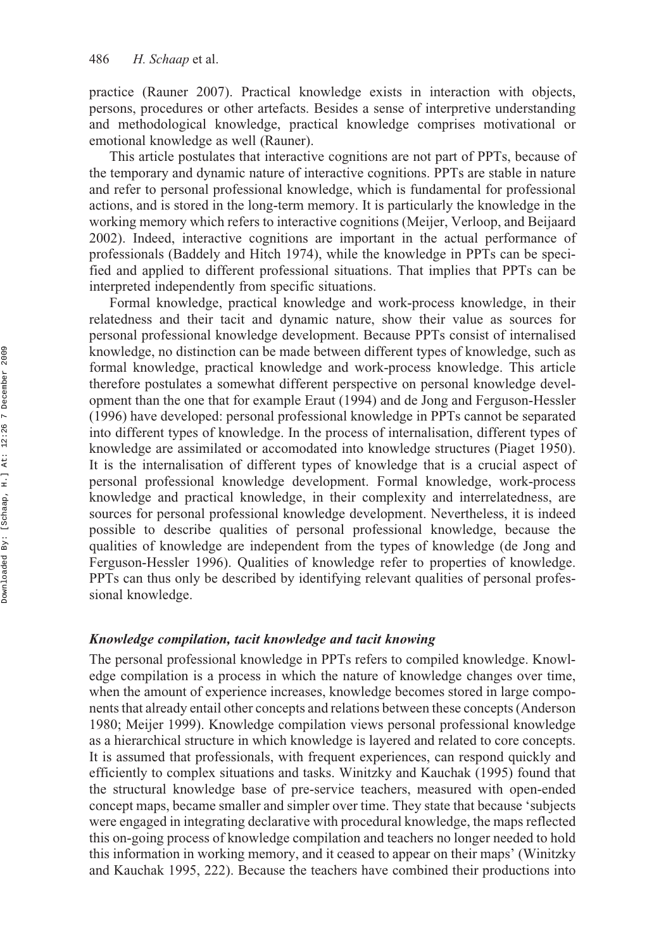practice (Rauner 2007). Practical knowledge exists in interaction with objects, persons, procedures or other artefacts. Besides a sense of interpretive understanding and methodological knowledge, practical knowledge comprises motivational or emotional knowledge as well (Rauner).

This article postulates that interactive cognitions are not part of PPTs, because of the temporary and dynamic nature of interactive cognitions. PPTs are stable in nature and refer to personal professional knowledge, which is fundamental for professional actions, and is stored in the long-term memory. It is particularly the knowledge in the working memory which refers to interactive cognitions (Meijer, Verloop, and Beijaard 2002). Indeed, interactive cognitions are important in the actual performance of professionals (Baddely and Hitch 1974), while the knowledge in PPTs can be specified and applied to different professional situations. That implies that PPTs can be interpreted independently from specific situations.

Formal knowledge, practical knowledge and work-process knowledge, in their relatedness and their tacit and dynamic nature, show their value as sources for personal professional knowledge development. Because PPTs consist of internalised knowledge, no distinction can be made between different types of knowledge, such as formal knowledge, practical knowledge and work-process knowledge. This article therefore postulates a somewhat different perspective on personal knowledge development than the one that for example Eraut (1994) and de Jong and Ferguson-Hessler (1996) have developed: personal professional knowledge in PPTs cannot be separated into different types of knowledge. In the process of internalisation, different types of knowledge are assimilated or accomodated into knowledge structures (Piaget 1950). It is the internalisation of different types of knowledge that is a crucial aspect of personal professional knowledge development. Formal knowledge, work-process knowledge and practical knowledge, in their complexity and interrelatedness, are sources for personal professional knowledge development. Nevertheless, it is indeed possible to describe qualities of personal professional knowledge, because the qualities of knowledge are independent from the types of knowledge (de Jong and Ferguson-Hessler 1996). Qualities of knowledge refer to properties of knowledge. PPTs can thus only be described by identifying relevant qualities of personal professional knowledge.

## *Knowledge compilation, tacit knowledge and tacit knowing*

The personal professional knowledge in PPTs refers to compiled knowledge. Knowledge compilation is a process in which the nature of knowledge changes over time, when the amount of experience increases, knowledge becomes stored in large components that already entail other concepts and relations between these concepts (Anderson 1980; Meijer 1999). Knowledge compilation views personal professional knowledge as a hierarchical structure in which knowledge is layered and related to core concepts. It is assumed that professionals, with frequent experiences, can respond quickly and efficiently to complex situations and tasks. Winitzky and Kauchak (1995) found that the structural knowledge base of pre-service teachers, measured with open-ended concept maps, became smaller and simpler over time. They state that because 'subjects were engaged in integrating declarative with procedural knowledge, the maps reflected this on-going process of knowledge compilation and teachers no longer needed to hold this information in working memory, and it ceased to appear on their maps' (Winitzky and Kauchak 1995, 222). Because the teachers have combined their productions into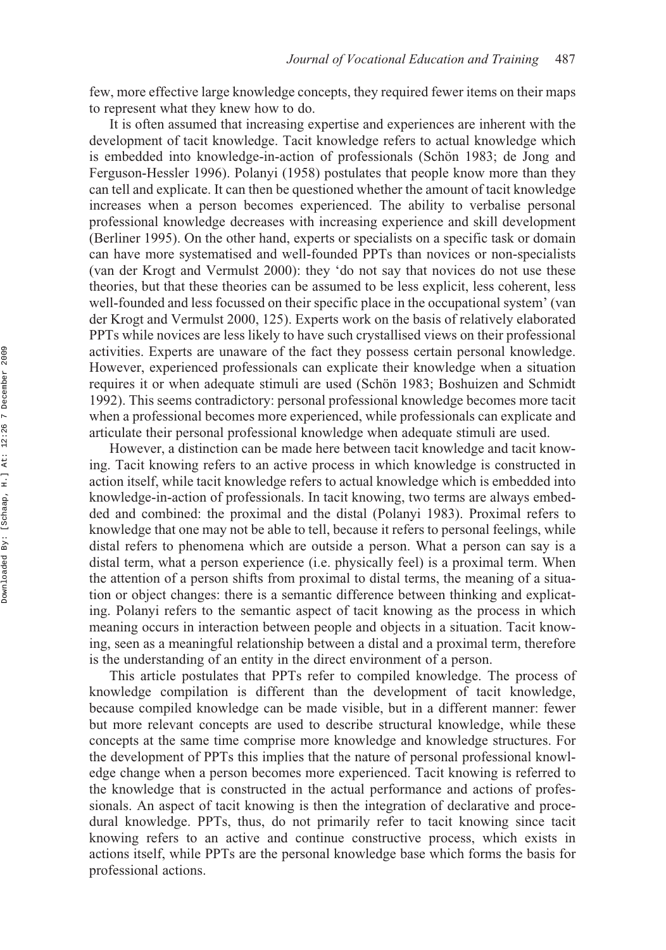few, more effective large knowledge concepts, they required fewer items on their maps to represent what they knew how to do.

It is often assumed that increasing expertise and experiences are inherent with the development of tacit knowledge. Tacit knowledge refers to actual knowledge which is embedded into knowledge-in-action of professionals (Schön 1983; de Jong and Ferguson-Hessler 1996). Polanyi (1958) postulates that people know more than they can tell and explicate. It can then be questioned whether the amount of tacit knowledge increases when a person becomes experienced. The ability to verbalise personal professional knowledge decreases with increasing experience and skill development (Berliner 1995). On the other hand, experts or specialists on a specific task or domain can have more systematised and well-founded PPTs than novices or non-specialists (van der Krogt and Vermulst 2000): they 'do not say that novices do not use these theories, but that these theories can be assumed to be less explicit, less coherent, less well-founded and less focussed on their specific place in the occupational system' (van der Krogt and Vermulst 2000, 125). Experts work on the basis of relatively elaborated PPTs while novices are less likely to have such crystallised views on their professional activities. Experts are unaware of the fact they possess certain personal knowledge. However, experienced professionals can explicate their knowledge when a situation requires it or when adequate stimuli are used (Schön 1983; Boshuizen and Schmidt 1992). This seems contradictory: personal professional knowledge becomes more tacit when a professional becomes more experienced, while professionals can explicate and articulate their personal professional knowledge when adequate stimuli are used.

However, a distinction can be made here between tacit knowledge and tacit knowing. Tacit knowing refers to an active process in which knowledge is constructed in action itself, while tacit knowledge refers to actual knowledge which is embedded into knowledge-in-action of professionals. In tacit knowing, two terms are always embedded and combined: the proximal and the distal (Polanyi 1983). Proximal refers to knowledge that one may not be able to tell, because it refers to personal feelings, while distal refers to phenomena which are outside a person. What a person can say is a distal term, what a person experience (i.e. physically feel) is a proximal term. When the attention of a person shifts from proximal to distal terms, the meaning of a situation or object changes: there is a semantic difference between thinking and explicating. Polanyi refers to the semantic aspect of tacit knowing as the process in which meaning occurs in interaction between people and objects in a situation. Tacit knowing, seen as a meaningful relationship between a distal and a proximal term, therefore is the understanding of an entity in the direct environment of a person.

This article postulates that PPTs refer to compiled knowledge. The process of knowledge compilation is different than the development of tacit knowledge, because compiled knowledge can be made visible, but in a different manner: fewer but more relevant concepts are used to describe structural knowledge, while these concepts at the same time comprise more knowledge and knowledge structures. For the development of PPTs this implies that the nature of personal professional knowledge change when a person becomes more experienced. Tacit knowing is referred to the knowledge that is constructed in the actual performance and actions of professionals. An aspect of tacit knowing is then the integration of declarative and procedural knowledge. PPTs, thus, do not primarily refer to tacit knowing since tacit knowing refers to an active and continue constructive process, which exists in actions itself, while PPTs are the personal knowledge base which forms the basis for professional actions.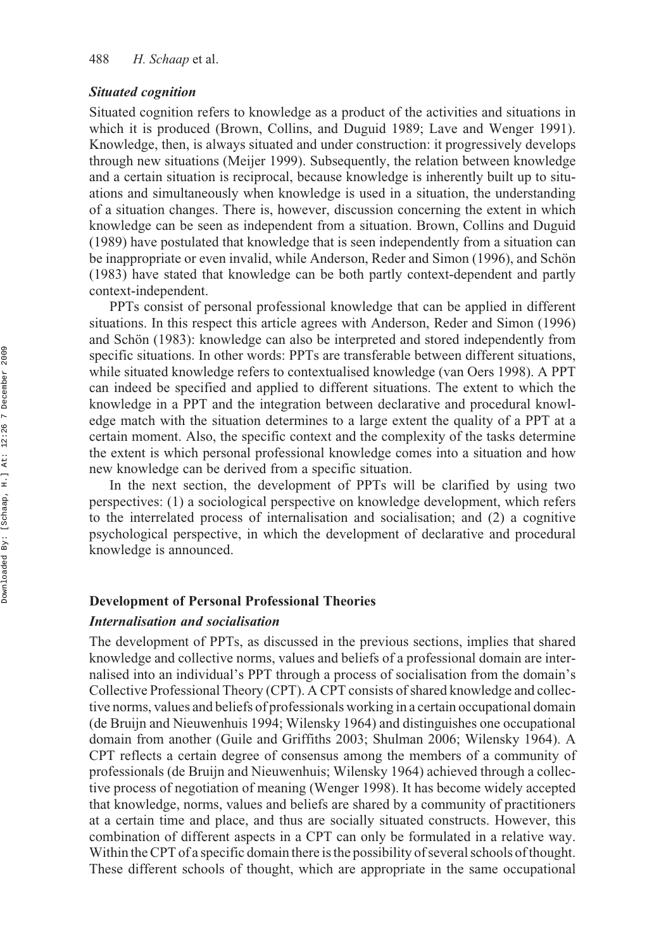#### *Situated cognition*

Situated cognition refers to knowledge as a product of the activities and situations in which it is produced (Brown, Collins, and Duguid 1989; Lave and Wenger 1991). Knowledge, then, is always situated and under construction: it progressively develops through new situations (Meijer 1999). Subsequently, the relation between knowledge and a certain situation is reciprocal, because knowledge is inherently built up to situations and simultaneously when knowledge is used in a situation, the understanding of a situation changes. There is, however, discussion concerning the extent in which knowledge can be seen as independent from a situation. Brown, Collins and Duguid (1989) have postulated that knowledge that is seen independently from a situation can be inappropriate or even invalid, while Anderson, Reder and Simon (1996), and Schön (1983) have stated that knowledge can be both partly context-dependent and partly context-independent.

PPTs consist of personal professional knowledge that can be applied in different situations. In this respect this article agrees with Anderson, Reder and Simon (1996) and Schön (1983): knowledge can also be interpreted and stored independently from specific situations. In other words: PPTs are transferable between different situations, while situated knowledge refers to contextualised knowledge (van Oers 1998). A PPT can indeed be specified and applied to different situations. The extent to which the knowledge in a PPT and the integration between declarative and procedural knowledge match with the situation determines to a large extent the quality of a PPT at a certain moment. Also, the specific context and the complexity of the tasks determine the extent is which personal professional knowledge comes into a situation and how new knowledge can be derived from a specific situation.

In the next section, the development of PPTs will be clarified by using two perspectives: (1) a sociological perspective on knowledge development, which refers to the interrelated process of internalisation and socialisation; and (2) a cognitive psychological perspective, in which the development of declarative and procedural knowledge is announced.

#### **Development of Personal Professional Theories**

#### *Internalisation and socialisation*

The development of PPTs, as discussed in the previous sections, implies that shared knowledge and collective norms, values and beliefs of a professional domain are internalised into an individual's PPT through a process of socialisation from the domain's Collective Professional Theory (CPT). A CPT consists of shared knowledge and collective norms, values and beliefs of professionals working in a certain occupational domain (de Bruijn and Nieuwenhuis 1994; Wilensky 1964) and distinguishes one occupational domain from another (Guile and Griffiths 2003; Shulman 2006; Wilensky 1964). A CPT reflects a certain degree of consensus among the members of a community of professionals (de Bruijn and Nieuwenhuis; Wilensky 1964) achieved through a collective process of negotiation of meaning (Wenger 1998). It has become widely accepted that knowledge, norms, values and beliefs are shared by a community of practitioners at a certain time and place, and thus are socially situated constructs. However, this combination of different aspects in a CPT can only be formulated in a relative way. Within the CPT of a specific domain there is the possibility of several schools of thought. These different schools of thought, which are appropriate in the same occupational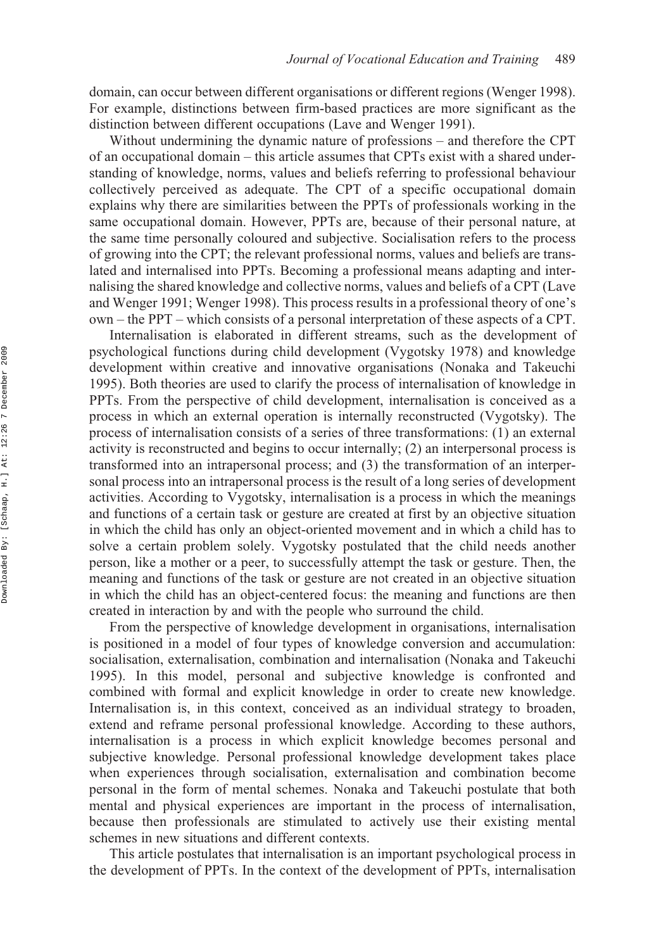domain, can occur between different organisations or different regions (Wenger 1998). For example, distinctions between firm-based practices are more significant as the distinction between different occupations (Lave and Wenger 1991).

Without undermining the dynamic nature of professions – and therefore the CPT of an occupational domain – this article assumes that CPTs exist with a shared understanding of knowledge, norms, values and beliefs referring to professional behaviour collectively perceived as adequate. The CPT of a specific occupational domain explains why there are similarities between the PPTs of professionals working in the same occupational domain. However, PPTs are, because of their personal nature, at the same time personally coloured and subjective. Socialisation refers to the process of growing into the CPT; the relevant professional norms, values and beliefs are translated and internalised into PPTs. Becoming a professional means adapting and internalising the shared knowledge and collective norms, values and beliefs of a CPT (Lave and Wenger 1991; Wenger 1998). This process results in a professional theory of one's own – the PPT – which consists of a personal interpretation of these aspects of a CPT.

Internalisation is elaborated in different streams, such as the development of psychological functions during child development (Vygotsky 1978) and knowledge development within creative and innovative organisations (Nonaka and Takeuchi 1995). Both theories are used to clarify the process of internalisation of knowledge in PPTs. From the perspective of child development, internalisation is conceived as a process in which an external operation is internally reconstructed (Vygotsky). The process of internalisation consists of a series of three transformations: (1) an external activity is reconstructed and begins to occur internally; (2) an interpersonal process is transformed into an intrapersonal process; and (3) the transformation of an interpersonal process into an intrapersonal process is the result of a long series of development activities. According to Vygotsky, internalisation is a process in which the meanings and functions of a certain task or gesture are created at first by an objective situation in which the child has only an object-oriented movement and in which a child has to solve a certain problem solely. Vygotsky postulated that the child needs another person, like a mother or a peer, to successfully attempt the task or gesture. Then, the meaning and functions of the task or gesture are not created in an objective situation in which the child has an object-centered focus: the meaning and functions are then created in interaction by and with the people who surround the child.

From the perspective of knowledge development in organisations, internalisation is positioned in a model of four types of knowledge conversion and accumulation: socialisation, externalisation, combination and internalisation (Nonaka and Takeuchi 1995). In this model, personal and subjective knowledge is confronted and combined with formal and explicit knowledge in order to create new knowledge. Internalisation is, in this context, conceived as an individual strategy to broaden, extend and reframe personal professional knowledge. According to these authors, internalisation is a process in which explicit knowledge becomes personal and subjective knowledge. Personal professional knowledge development takes place when experiences through socialisation, externalisation and combination become personal in the form of mental schemes. Nonaka and Takeuchi postulate that both mental and physical experiences are important in the process of internalisation, because then professionals are stimulated to actively use their existing mental schemes in new situations and different contexts.

This article postulates that internalisation is an important psychological process in the development of PPTs. In the context of the development of PPTs, internalisation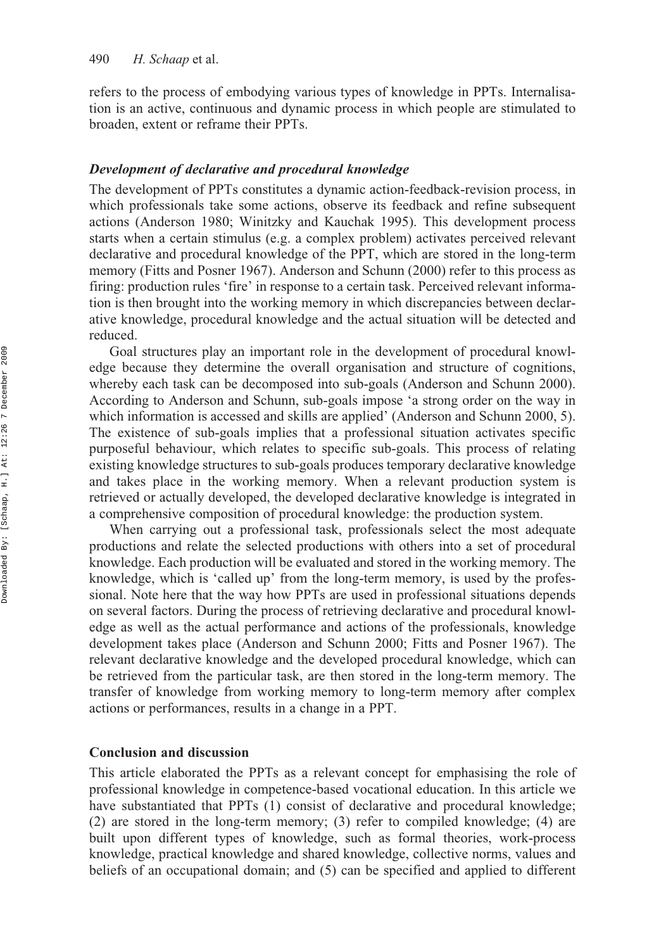refers to the process of embodying various types of knowledge in PPTs. Internalisation is an active, continuous and dynamic process in which people are stimulated to broaden, extent or reframe their PPTs.

#### *Development of declarative and procedural knowledge*

The development of PPTs constitutes a dynamic action-feedback-revision process, in which professionals take some actions, observe its feedback and refine subsequent actions (Anderson 1980; Winitzky and Kauchak 1995). This development process starts when a certain stimulus (e.g. a complex problem) activates perceived relevant declarative and procedural knowledge of the PPT, which are stored in the long-term memory (Fitts and Posner 1967). Anderson and Schunn (2000) refer to this process as firing: production rules 'fire' in response to a certain task. Perceived relevant information is then brought into the working memory in which discrepancies between declarative knowledge, procedural knowledge and the actual situation will be detected and reduced.

Goal structures play an important role in the development of procedural knowledge because they determine the overall organisation and structure of cognitions, whereby each task can be decomposed into sub-goals (Anderson and Schunn 2000). According to Anderson and Schunn, sub-goals impose 'a strong order on the way in which information is accessed and skills are applied' (Anderson and Schunn 2000, 5). The existence of sub-goals implies that a professional situation activates specific purposeful behaviour, which relates to specific sub-goals. This process of relating existing knowledge structures to sub-goals produces temporary declarative knowledge and takes place in the working memory. When a relevant production system is retrieved or actually developed, the developed declarative knowledge is integrated in a comprehensive composition of procedural knowledge: the production system.

When carrying out a professional task, professionals select the most adequate productions and relate the selected productions with others into a set of procedural knowledge. Each production will be evaluated and stored in the working memory. The knowledge, which is 'called up' from the long-term memory, is used by the professional. Note here that the way how PPTs are used in professional situations depends on several factors. During the process of retrieving declarative and procedural knowledge as well as the actual performance and actions of the professionals, knowledge development takes place (Anderson and Schunn 2000; Fitts and Posner 1967). The relevant declarative knowledge and the developed procedural knowledge, which can be retrieved from the particular task, are then stored in the long-term memory. The transfer of knowledge from working memory to long-term memory after complex actions or performances, results in a change in a PPT.

#### **Conclusion and discussion**

This article elaborated the PPTs as a relevant concept for emphasising the role of professional knowledge in competence-based vocational education. In this article we have substantiated that PPTs (1) consist of declarative and procedural knowledge; (2) are stored in the long-term memory; (3) refer to compiled knowledge; (4) are built upon different types of knowledge, such as formal theories, work-process knowledge, practical knowledge and shared knowledge, collective norms, values and beliefs of an occupational domain; and (5) can be specified and applied to different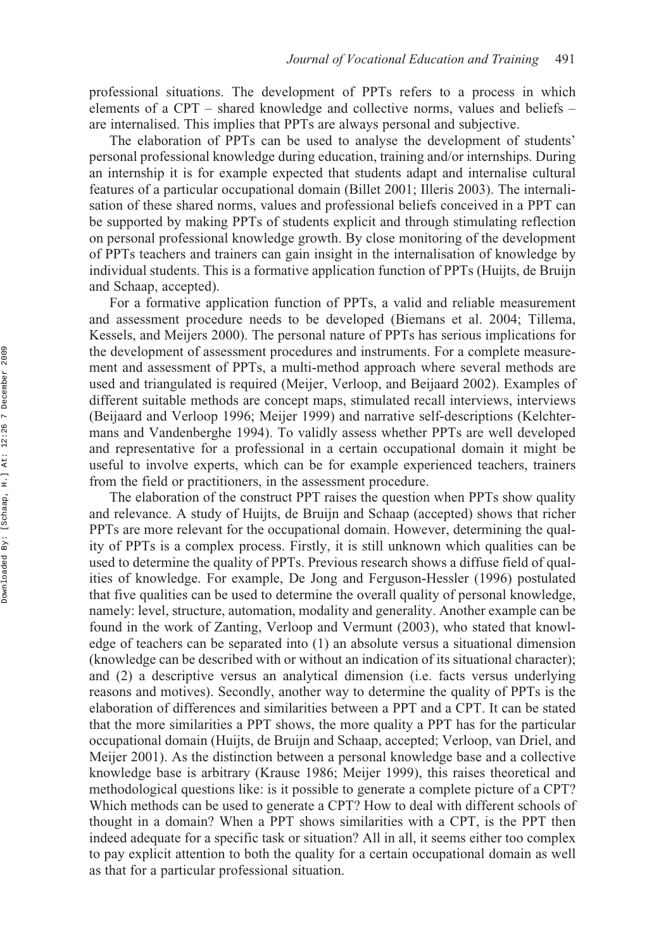professional situations. The development of PPTs refers to a process in which elements of a CPT – shared knowledge and collective norms, values and beliefs – are internalised. This implies that PPTs are always personal and subjective.

The elaboration of PPTs can be used to analyse the development of students' personal professional knowledge during education, training and/or internships. During an internship it is for example expected that students adapt and internalise cultural features of a particular occupational domain (Billet 2001; Illeris 2003). The internalisation of these shared norms, values and professional beliefs conceived in a PPT can be supported by making PPTs of students explicit and through stimulating reflection on personal professional knowledge growth. By close monitoring of the development of PPTs teachers and trainers can gain insight in the internalisation of knowledge by individual students. This is a formative application function of PPTs (Huijts, de Bruijn and Schaap, accepted).

For a formative application function of PPTs, a valid and reliable measurement and assessment procedure needs to be developed (Biemans et al. 2004; Tillema, Kessels, and Meijers 2000). The personal nature of PPTs has serious implications for the development of assessment procedures and instruments. For a complete measurement and assessment of PPTs, a multi-method approach where several methods are used and triangulated is required (Meijer, Verloop, and Beijaard 2002). Examples of different suitable methods are concept maps, stimulated recall interviews, interviews (Beijaard and Verloop 1996; Meijer 1999) and narrative self-descriptions (Kelchtermans and Vandenberghe 1994). To validly assess whether PPTs are well developed and representative for a professional in a certain occupational domain it might be useful to involve experts, which can be for example experienced teachers, trainers from the field or practitioners, in the assessment procedure.

The elaboration of the construct PPT raises the question when PPTs show quality and relevance. A study of Huijts, de Bruijn and Schaap (accepted) shows that richer PPTs are more relevant for the occupational domain. However, determining the quality of PPTs is a complex process. Firstly, it is still unknown which qualities can be used to determine the quality of PPTs. Previous research shows a diffuse field of qualities of knowledge. For example, De Jong and Ferguson-Hessler (1996) postulated that five qualities can be used to determine the overall quality of personal knowledge, namely: level, structure, automation, modality and generality. Another example can be found in the work of Zanting, Verloop and Vermunt (2003), who stated that knowledge of teachers can be separated into (1) an absolute versus a situational dimension (knowledge can be described with or without an indication of its situational character); and (2) a descriptive versus an analytical dimension (i.e. facts versus underlying reasons and motives). Secondly, another way to determine the quality of PPTs is the elaboration of differences and similarities between a PPT and a CPT. It can be stated that the more similarities a PPT shows, the more quality a PPT has for the particular occupational domain (Huijts, de Bruijn and Schaap, accepted; Verloop, van Driel, and Meijer 2001). As the distinction between a personal knowledge base and a collective knowledge base is arbitrary (Krause 1986; Meijer 1999), this raises theoretical and methodological questions like: is it possible to generate a complete picture of a CPT? Which methods can be used to generate a CPT? How to deal with different schools of thought in a domain? When a PPT shows similarities with a CPT, is the PPT then indeed adequate for a specific task or situation? All in all, it seems either too complex to pay explicit attention to both the quality for a certain occupational domain as well as that for a particular professional situation.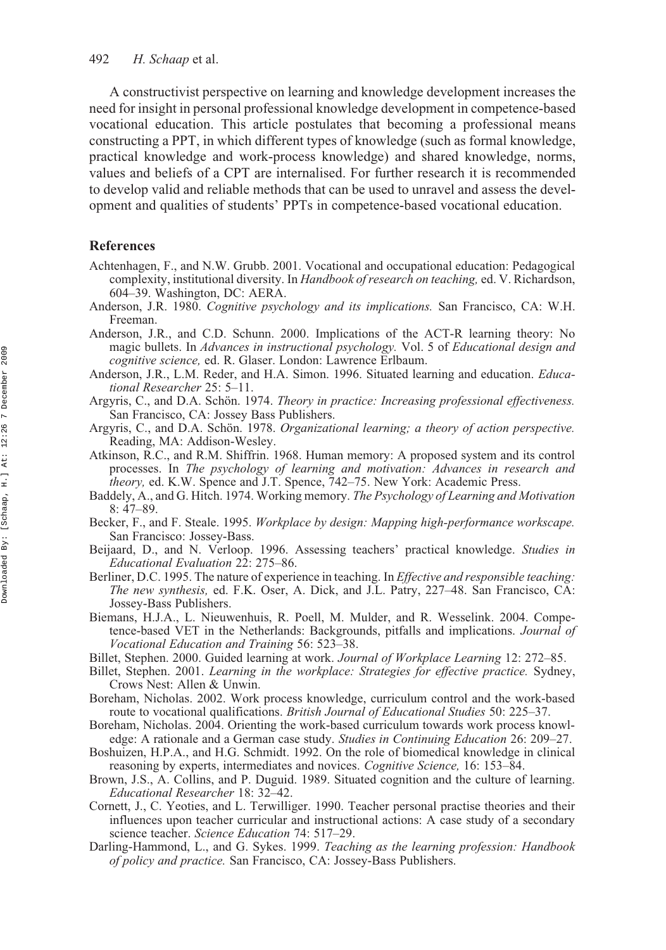A constructivist perspective on learning and knowledge development increases the need for insight in personal professional knowledge development in competence-based vocational education. This article postulates that becoming a professional means constructing a PPT, in which different types of knowledge (such as formal knowledge, practical knowledge and work-process knowledge) and shared knowledge, norms, values and beliefs of a CPT are internalised. For further research it is recommended to develop valid and reliable methods that can be used to unravel and assess the development and qualities of students' PPTs in competence-based vocational education.

## **References**

- Achtenhagen, F., and N.W. Grubb. 2001. Vocational and occupational education: Pedagogical complexity, institutional diversity. In *Handbook of research on teaching,* ed. V. Richardson, 604–39. Washington, DC: AERA.
- Anderson, J.R. 1980. *Cognitive psychology and its implications.* San Francisco, CA: W.H. Freeman.
- Anderson, J.R., and C.D. Schunn. 2000. Implications of the ACT-R learning theory: No magic bullets. In *Advances in instructional psychology.* Vol. 5 of *Educational design and cognitive science,* ed. R. Glaser. London: Lawrence Erlbaum.
- Anderson, J.R., L.M. Reder, and H.A. Simon. 1996. Situated learning and education. *Educational Researcher* 25: 5–11.
- Argyris, C., and D.A. Schön. 1974. *Theory in practice: Increasing professional effectiveness.* San Francisco, CA: Jossey Bass Publishers.
- Argyris, C., and D.A. Schön. 1978. *Organizational learning; a theory of action perspective.* Reading, MA: Addison-Wesley.
- Atkinson, R.C., and R.M. Shiffrin. 1968. Human memory: A proposed system and its control processes. In *The psychology of learning and motivation: Advances in research and theory,* ed. K.W. Spence and J.T. Spence, 742–75. New York: Academic Press.
- Baddely, A., and G. Hitch. 1974. Working memory. *The Psychology of Learning and Motivation* 8: 47–89.
- Becker, F., and F. Steale. 1995. *Workplace by design: Mapping high-performance workscape.* San Francisco: Jossey-Bass.
- Beijaard, D., and N. Verloop. 1996. Assessing teachers' practical knowledge. *Studies in Educational Evaluation* 22: 275–86.
- Berliner, D.C. 1995. The nature of experience in teaching. In *Effective and responsible teaching: The new synthesis,* ed. F.K. Oser, A. Dick, and J.L. Patry, 227–48. San Francisco, CA: Jossey-Bass Publishers.
- Biemans, H.J.A., L. Nieuwenhuis, R. Poell, M. Mulder, and R. Wesselink. 2004. Competence-based VET in the Netherlands: Backgrounds, pitfalls and implications. *Journal of Vocational Education and Training* 56: 523–38.
- Billet, Stephen. 2000. Guided learning at work. *Journal of Workplace Learning* 12: 272–85.
- Billet, Stephen. 2001. *Learning in the workplace: Strategies for effective practice.* Sydney, Crows Nest: Allen & Unwin.
- Boreham, Nicholas. 2002. Work process knowledge, curriculum control and the work-based route to vocational qualifications. *British Journal of Educational Studies* 50: 225–37.
- Boreham, Nicholas. 2004. Orienting the work-based curriculum towards work process knowledge: A rationale and a German case study. *Studies in Continuing Education* 26: 209–27.
- Boshuizen, H.P.A., and H.G. Schmidt. 1992. On the role of biomedical knowledge in clinical reasoning by experts, intermediates and novices. *Cognitive Science,* 16: 153–84.
- Brown, J.S., A. Collins, and P. Duguid. 1989. Situated cognition and the culture of learning. *Educational Researcher* 18: 32–42.
- Cornett, J., C. Yeoties, and L. Terwilliger. 1990. Teacher personal practise theories and their influences upon teacher curricular and instructional actions: A case study of a secondary science teacher. *Science Education* 74: 517–29.
- Darling-Hammond, L., and G. Sykes. 1999. *Teaching as the learning profession: Handbook of policy and practice.* San Francisco, CA: Jossey-Bass Publishers.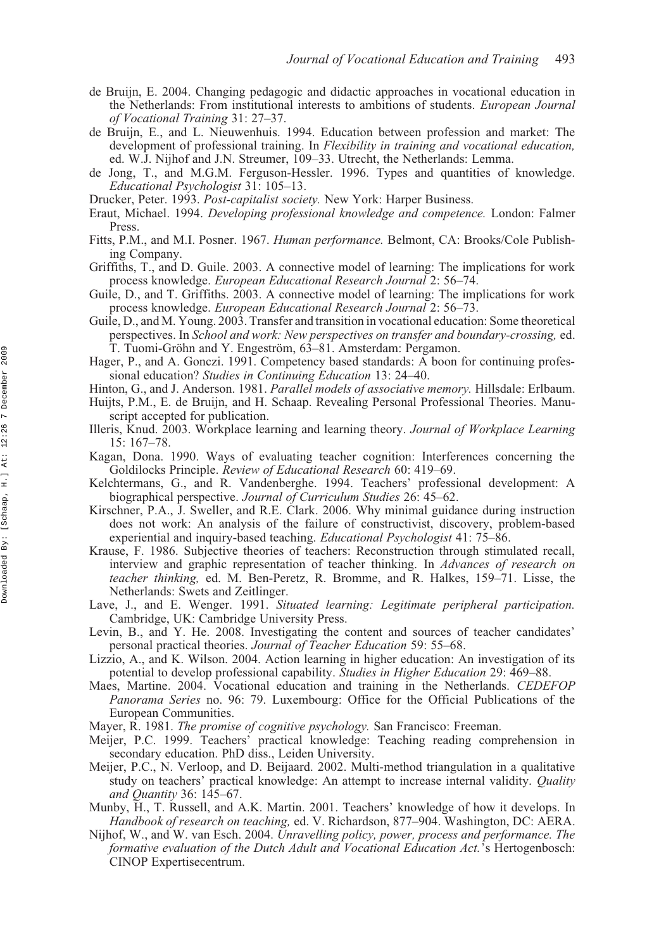- de Bruijn, E. 2004. Changing pedagogic and didactic approaches in vocational education in the Netherlands: From institutional interests to ambitions of students. *European Journal of Vocational Training* 31: 27–37.
- de Bruijn, E., and L. Nieuwenhuis. 1994. Education between profession and market: The development of professional training. In *Flexibility in training and vocational education,* ed. W.J. Nijhof and J.N. Streumer, 109–33. Utrecht, the Netherlands: Lemma.
- de Jong, T., and M.G.M. Ferguson-Hessler. 1996. Types and quantities of knowledge. *Educational Psychologist* 31: 105–13.
- Drucker, Peter. 1993. *Post-capitalist society.* New York: Harper Business.
- Eraut, Michael. 1994. *Developing professional knowledge and competence.* London: Falmer Press.
- Fitts, P.M., and M.I. Posner. 1967. *Human performance.* Belmont, CA: Brooks/Cole Publishing Company.
- Griffiths, T., and D. Guile. 2003. A connective model of learning: The implications for work process knowledge. *European Educational Research Journal* 2: 56–74.
- Guile, D., and T. Griffiths. 2003. A connective model of learning: The implications for work process knowledge. *European Educational Research Journal* 2: 56–73.
- Guile, D., and M. Young. 2003. Transfer and transition in vocational education: Some theoretical perspectives. In *School and work: New perspectives on transfer and boundary-crossing,* ed. T. Tuomi-Gröhn and Y. Engeström, 63–81. Amsterdam: Pergamon.
- Hager, P., and A. Gonczi. 1991. Competency based standards: A boon for continuing professional education? *Studies in Continuing Education* 13: 24–40.
- Hinton, G., and J. Anderson. 1981. *Parallel models of associative memory.* Hillsdale: Erlbaum. Huijts, P.M., E. de Bruijn, and H. Schaap. Revealing Personal Professional Theories. Manu-
- script accepted for publication.
- Illeris, Knud. 2003. Workplace learning and learning theory. *Journal of Workplace Learning* 15: 167–78.
- Kagan, Dona. 1990. Ways of evaluating teacher cognition: Interferences concerning the Goldilocks Principle. *Review of Educational Research* 60: 419–69.
- Kelchtermans, G., and R. Vandenberghe. 1994. Teachers' professional development: A biographical perspective. *Journal of Curriculum Studies* 26: 45–62.
- Kirschner, P.A., J. Sweller, and R.E. Clark. 2006. Why minimal guidance during instruction does not work: An analysis of the failure of constructivist, discovery, problem-based experiential and inquiry-based teaching. *Educational Psychologist* 41: 75–86.
- Krause, F. 1986. Subjective theories of teachers: Reconstruction through stimulated recall, interview and graphic representation of teacher thinking. In *Advances of research on teacher thinking,* ed. M. Ben-Peretz, R. Bromme, and R. Halkes, 159–71. Lisse, the Netherlands: Swets and Zeitlinger.
- Lave, J., and E. Wenger. 1991. *Situated learning: Legitimate peripheral participation.* Cambridge, UK: Cambridge University Press.
- Levin, B., and Y. He. 2008. Investigating the content and sources of teacher candidates' personal practical theories. *Journal of Teacher Education* 59: 55–68.
- Lizzio, A., and K. Wilson. 2004. Action learning in higher education: An investigation of its potential to develop professional capability. *Studies in Higher Education* 29: 469–88.
- Maes, Martine. 2004. Vocational education and training in the Netherlands. *CEDEFOP Panorama Series* no. 96: 79. Luxembourg: Office for the Official Publications of the European Communities.
- Mayer, R. 1981. *The promise of cognitive psychology.* San Francisco: Freeman.
- Meijer, P.C. 1999. Teachers' practical knowledge: Teaching reading comprehension in secondary education. PhD diss., Leiden University.
- Meijer, P.C., N. Verloop, and D. Beijaard. 2002. Multi-method triangulation in a qualitative study on teachers' practical knowledge: An attempt to increase internal validity. *Quality and Quantity* 36: 145–67.
- Munby, H., T. Russell, and A.K. Martin. 2001. Teachers' knowledge of how it develops. In *Handbook of research on teaching,* ed. V. Richardson, 877–904. Washington, DC: AERA.
- Nijhof, W., and W. van Esch. 2004. *Unravelling policy, power, process and performance. The formative evaluation of the Dutch Adult and Vocational Education Act.*'s Hertogenbosch: CINOP Expertisecentrum.